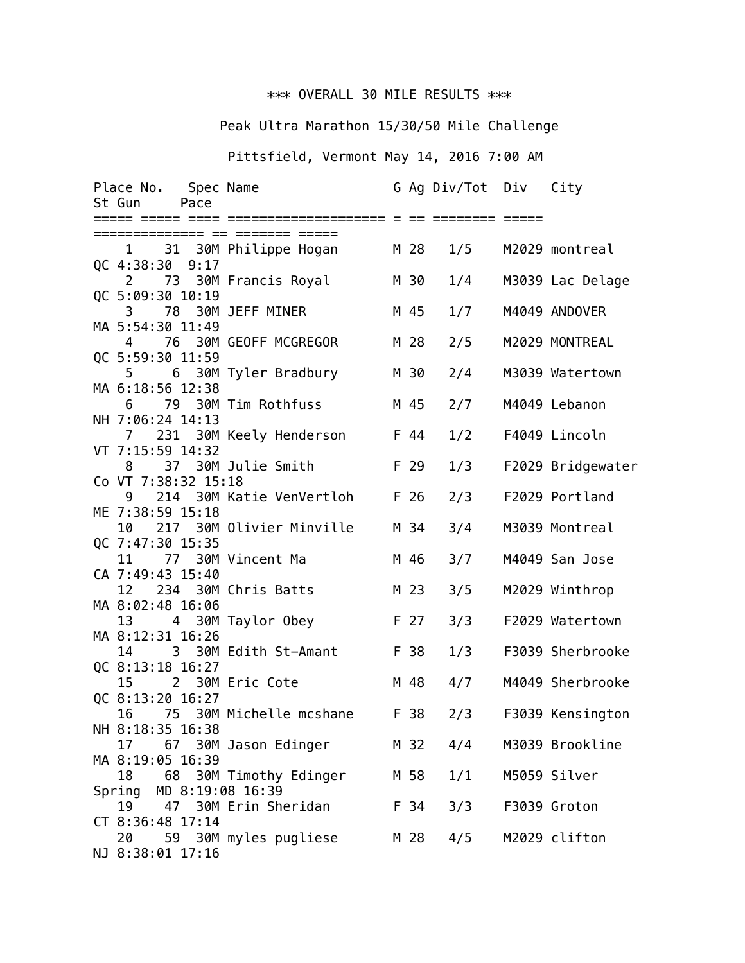## \*\*\* OVERALL 30 MILE RESULTS \*\*\*

## Peak Ultra Marathon 15/30/50 Mile Challenge

## Pittsfield, Vermont May 14, 2016 7:00 AM

|                         | Place No. Spec Name<br>Pace<br>St Gun |                                 |  |      | G Ag Div/Tot Div |  | City              |
|-------------------------|---------------------------------------|---------------------------------|--|------|------------------|--|-------------------|
|                         |                                       |                                 |  |      |                  |  |                   |
|                         |                                       |                                 |  |      |                  |  |                   |
|                         | QC 4:38:30 9:17                       | 1 31 30M Philippe Hogan         |  | M 28 | 1/5              |  | M2029 montreal    |
|                         |                                       | 2 73 30M Francis Royal          |  | M 30 | 1/4              |  | M3039 Lac Delage  |
|                         | QC 5:09:30 10:19<br>3                 | 78 30M JEFF MINER               |  | M 45 | 1/7              |  | M4049 ANDOVER     |
|                         | MA 5:54:30 11:49<br>4                 | 76 30M GEOFF MCGREGOR           |  | M 28 | 2/5              |  | M2029 MONTREAL    |
|                         | QC 5:59:30 11:59                      |                                 |  |      |                  |  |                   |
|                         | $5^{\circ}$                           | 6 30M Tyler Bradbury            |  | M 30 | 2/4              |  | M3039 Watertown   |
|                         | MA 6:18:56 12:38                      |                                 |  |      |                  |  |                   |
|                         | 6                                     | 79 30M Tim Rothfuss             |  | M 45 | 2/7              |  | M4049 Lebanon     |
|                         | NH 7:06:24 14:13<br>$\mathcal{I}$     | 231 30M Keely Henderson<br>F 44 |  |      | 1/2              |  | F4049 Lincoln     |
|                         | VT 7:15:59 14:32                      |                                 |  |      |                  |  |                   |
|                         | 8                                     | 37 30M Julie Smith              |  | F 29 | 1/3              |  | F2029 Bridgewater |
|                         | Co VT 7:38:32 15:18                   |                                 |  |      |                  |  |                   |
|                         | 9<br>ME 7:38:59 15:18                 | 214 30M Katie VenVertloh        |  | F 26 | 2/3              |  | F2029 Portland    |
|                         |                                       | 10 217 30M Olivier Minville     |  | M 34 | 3/4              |  | M3039 Montreal    |
|                         | QC 7:47:30 15:35                      |                                 |  |      |                  |  |                   |
|                         | 11                                    | 77 30M Vincent Ma               |  | M 46 | 3/7              |  | M4049 San Jose    |
|                         | CA 7:49:43 15:40<br>12                | 234 30M Chris Batts             |  | M 23 | 3/5              |  | M2029 Winthrop    |
|                         | MA 8:02:48 16:06                      |                                 |  |      |                  |  |                   |
|                         | 13                                    | 4 30M Taylor Obey               |  | F 27 | 3/3              |  | F2029 Watertown   |
|                         | MA 8:12:31 16:26                      |                                 |  |      |                  |  |                   |
|                         | 14<br>QC 8:13:18 16:27                | 3 30M Edith St-Amant            |  | F 38 | 1/3              |  | F3039 Sherbrooke  |
|                         | 15                                    | 2 30M Eric Cote                 |  | M 48 | 4/7              |  | M4049 Sherbrooke  |
|                         | QC 8:13:20 16:27                      |                                 |  |      |                  |  |                   |
|                         | 16                                    | 75 30M Michelle mcshane         |  | F 38 | 2/3              |  | F3039 Kensington  |
|                         | NH 8:18:35 16:38                      |                                 |  |      |                  |  | M3039 Brookline   |
|                         | 17<br>MA 8:19:05 16:39                | 67 30M Jason Edinger            |  | M 32 | 4/4              |  |                   |
|                         | 18                                    | 68 30M Timothy Edinger          |  | M 58 | 1/1              |  | M5059 Silver      |
| Spring MD 8:19:08 16:39 |                                       |                                 |  |      |                  |  |                   |
|                         | 19                                    | 47 30M Erin Sheridan            |  | F 34 | 3/3              |  | F3039 Groton      |
|                         | CT 8:36:48 17:14<br>20                | 59 30M myles pugliese           |  | M 28 | 4/5              |  | M2029 clifton     |
|                         | NJ 8:38:01 17:16                      |                                 |  |      |                  |  |                   |